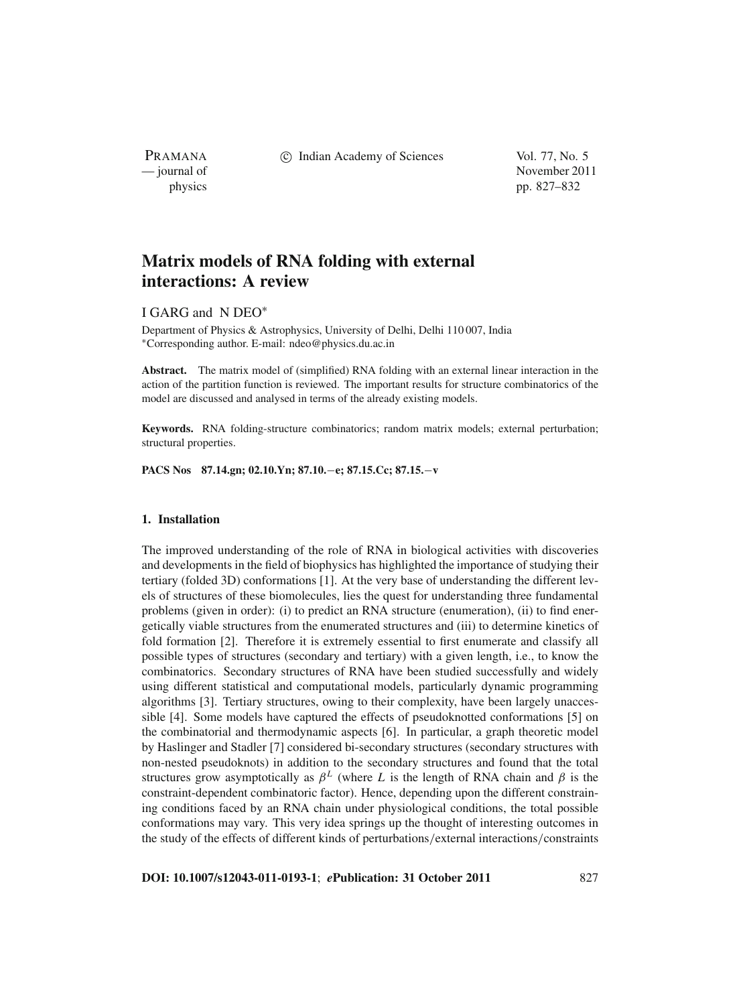PRAMANA

c Indian Academy of Sciences Vol. 77, No. 5

— journal of November 2011 physics pp. 827–832

# **Matrix models of RNA folding with external interactions: A review**

I GARG and N DEO<sup>∗</sup>

Department of Physics & Astrophysics, University of Delhi, Delhi 110 007, India <sup>∗</sup>Corresponding author. E-mail: ndeo@physics.du.ac.in

**Abstract.** The matrix model of (simplified) RNA folding with an external linear interaction in the action of the partition function is reviewed. The important results for structure combinatorics of the model are discussed and analysed in terms of the already existing models.

**Keywords.** RNA folding-structure combinatorics; random matrix models; external perturbation; structural properties.

**PACS Nos 87.14.gn; 02.10.Yn; 87.10.**−**e; 87.15.Cc; 87.15.**−**v**

#### **1. Installation**

The improved understanding of the role of RNA in biological activities with discoveries and developments in the field of biophysics has highlighted the importance of studying their tertiary (folded 3D) conformations [1]. At the very base of understanding the different levels of structures of these biomolecules, lies the quest for understanding three fundamental problems (given in order): (i) to predict an RNA structure (enumeration), (ii) to find energetically viable structures from the enumerated structures and (iii) to determine kinetics of fold formation [2]. Therefore it is extremely essential to first enumerate and classify all possible types of structures (secondary and tertiary) with a given length, i.e., to know the combinatorics. Secondary structures of RNA have been studied successfully and widely using different statistical and computational models, particularly dynamic programming algorithms [3]. Tertiary structures, owing to their complexity, have been largely unaccessible [4]. Some models have captured the effects of pseudoknotted conformations [5] on the combinatorial and thermodynamic aspects [6]. In particular, a graph theoretic model by Haslinger and Stadler [7] considered bi-secondary structures (secondary structures with non-nested pseudoknots) in addition to the secondary structures and found that the total structures grow asymptotically as  $\beta^L$  (where *L* is the length of RNA chain and  $\beta$  is the constraint-dependent combinatoric factor). Hence, depending upon the different constraining conditions faced by an RNA chain under physiological conditions, the total possible conformations may vary. This very idea springs up the thought of interesting outcomes in the study of the effects of different kinds of perturbations/external interactions/constraints

**DOI: 10.1007/s12043-011-0193-1**; *e***Publication: 31 October 2011** 827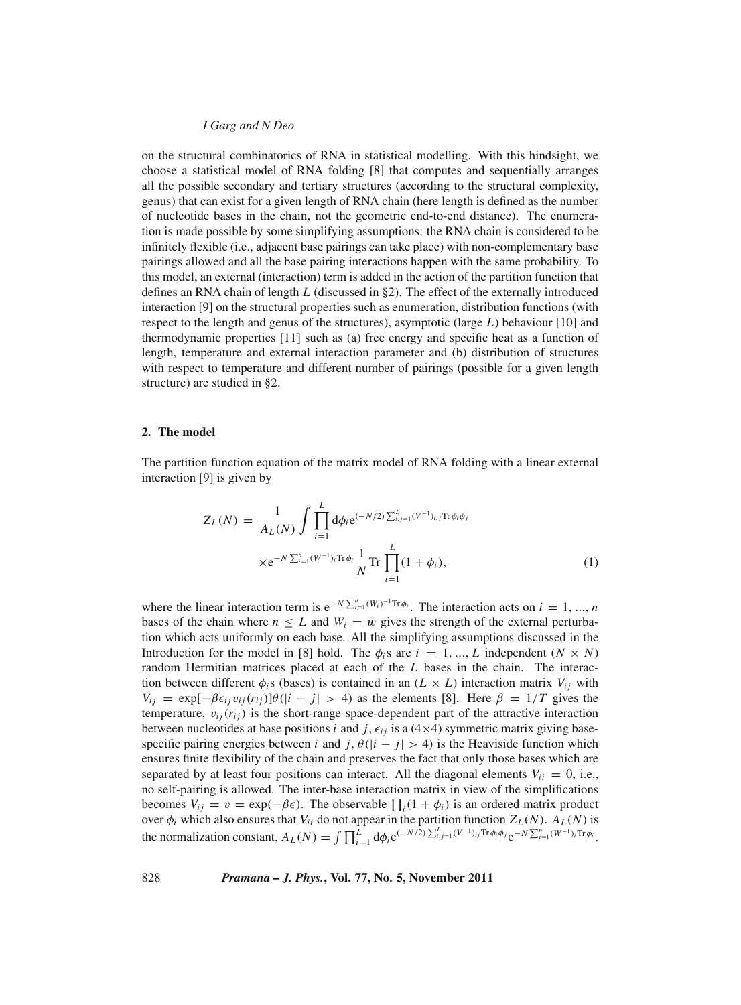## *I Garg and N Deo*

on the structural combinatorics of RNA in statistical modelling. With this hindsight, we choose a statistical model of RNA folding [8] that computes and sequentially arranges all the possible secondary and tertiary structures (according to the structural complexity, genus) that can exist for a given length of RNA chain (here length is defined as the number of nucleotide bases in the chain, not the geometric end-to-end distance). The enumeration is made possible by some simplifying assumptions: the RNA chain is considered to be infinitely flexible (i.e., adjacent base pairings can take place) with non-complementary base pairings allowed and all the base pairing interactions happen with the same probability. To this model, an external (interaction) term is added in the action of the partition function that defines an RNA chain of length *L* (discussed in §2). The effect of the externally introduced interaction [9] on the structural properties such as enumeration, distribution functions (with respect to the length and genus of the structures), asymptotic (large *L*) behaviour [10] and thermodynamic properties [11] such as (a) free energy and specific heat as a function of length, temperature and external interaction parameter and (b) distribution of structures with respect to temperature and different number of pairings (possible for a given length structure) are studied in §2.

# **2. The model**

The partition function equation of the matrix model of RNA folding with a linear external interaction [9] is given by

$$
Z_L(N) = \frac{1}{A_L(N)} \int \prod_{i=1}^L d\phi_i e^{(-N/2) \sum_{i,j=1}^L (V^{-1})_{i,j} \text{Tr} \phi_i \phi_j}
$$
  
 
$$
\times e^{-N \sum_{i=1}^n (W^{-1})_i \text{Tr} \phi_i} \frac{1}{N} \text{Tr} \prod_{i=1}^L (1 + \phi_i), \tag{1}
$$

where the linear interaction term is  $e^{-N\sum_{i=1}^{n}(W_i)^{-1} \text{Tr} \phi_i}$ . The interaction acts on  $i = 1, ..., n$ bases of the chain where  $n \leq L$  and  $W_i = w$  gives the strength of the external perturbation which acts uniformly on each base. All the simplifying assumptions discussed in the Introduction for the model in [8] hold. The  $\phi_i$ s are  $i = 1, ..., L$  independent  $(N \times N)$ random Hermitian matrices placed at each of the *L* bases in the chain. The interaction between different  $\phi_i$ s (bases) is contained in an ( $L \times L$ ) interaction matrix  $V_{ij}$  with  $V_{ij}$  = exp[ $-\beta \epsilon_{ij} v_{ij} (r_{ij}) \theta(|i-j| > 4)$  as the elements [8]. Here  $\beta = 1/T$  gives the temperature,  $v_{ij}(r_{ij})$  is the short-range space-dependent part of the attractive interaction between nucleotides at base positions *i* and *j*,  $\epsilon_{ij}$  is a (4×4) symmetric matrix giving basespecific pairing energies between *i* and *j*,  $\theta(|i - j| > 4)$  is the Heaviside function which ensures finite flexibility of the chain and preserves the fact that only those bases which are separated by at least four positions can interact. All the diagonal elements  $V_{ii} = 0$ , i.e., no self-pairing is allowed. The inter-base interaction matrix in view of the simplifications becomes  $V_{ij} = v = \exp(-\beta \epsilon)$ . The observable  $\prod_i (1 + \phi_i)$  is an ordered matrix product over  $\phi_i$  which also ensures that  $V_{ii}$  do not appear in the partition function  $Z_L(N)$ .  $A_L(N)$  is the normalization constant,  $A_L(N) = \int \prod_{i=1}^L d\phi_i e^{(-N/2) \sum_{i,j=1}^L (V^{-1})_{ij} \text{Tr} \phi_i \phi_j} e^{-N \sum_{i=1}^n (W^{-1})_i \text{Tr} \phi_i}.$ 

828 *Pramana – J. Phys.***, Vol. 77, No. 5, November 2011**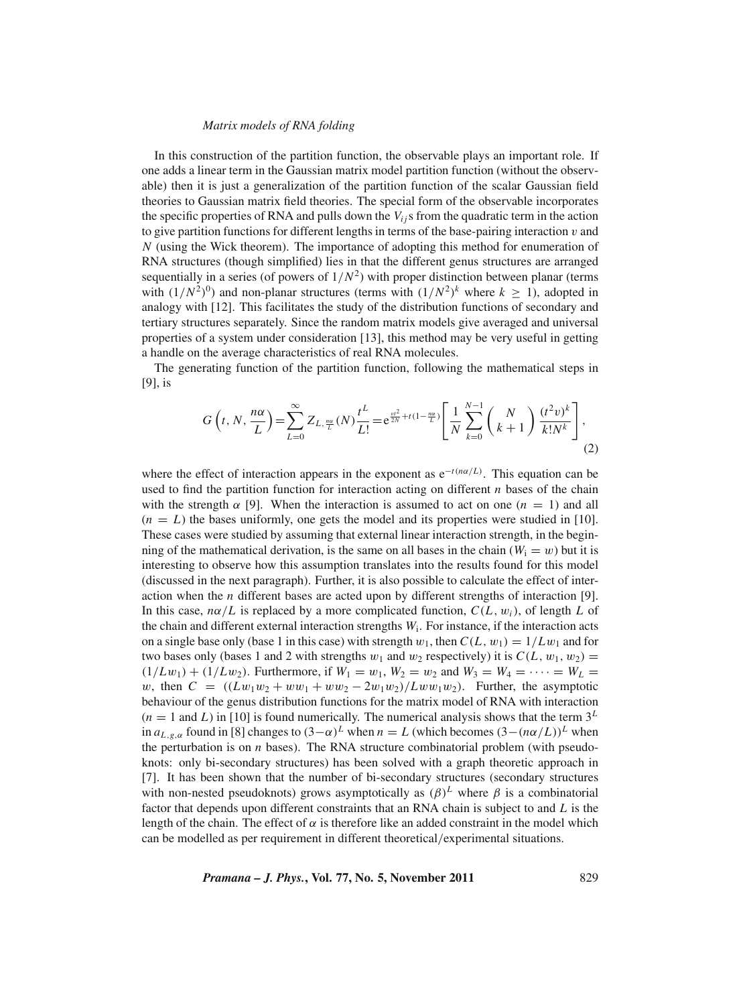#### *Matrix models of RNA folding*

In this construction of the partition function, the observable plays an important role. If one adds a linear term in the Gaussian matrix model partition function (without the observable) then it is just a generalization of the partition function of the scalar Gaussian field theories to Gaussian matrix field theories. The special form of the observable incorporates the specific properties of RNA and pulls down the  $V_i$  *s* from the quadratic term in the action to give partition functions for different lengths in terms of the base-pairing interaction  $v$  and *N* (using the Wick theorem). The importance of adopting this method for enumeration of RNA structures (though simplified) lies in that the different genus structures are arranged sequentially in a series (of powers of  $1/N^2$ ) with proper distinction between planar (terms with  $(1/N^2)^0$  and non-planar structures (terms with  $(1/N^2)^k$  where  $k \ge 1$ ), adopted in analogy with [12]. This facilitates the study of the distribution functions of secondary and tertiary structures separately. Since the random matrix models give averaged and universal properties of a system under consideration [13], this method may be very useful in getting a handle on the average characteristics of real RNA molecules.

The generating function of the partition function, following the mathematical steps in [9], is

$$
G\left(t, N, \frac{n\alpha}{L}\right) = \sum_{L=0}^{\infty} Z_{L, \frac{n\alpha}{L}}(N) \frac{t^L}{L!} = e^{\frac{vt^2}{2N} + t(1 - \frac{n\alpha}{L})} \left[ \frac{1}{N} \sum_{k=0}^{N-1} \binom{N}{k+1} \frac{(t^2v)^k}{k! N^k} \right],\tag{2}
$$

where the effect of interaction appears in the exponent as e<sup>-t(*nα*/*L*). This equation can be</sup> used to find the partition function for interaction acting on different *n* bases of the chain with the strength  $\alpha$  [9]. When the interaction is assumed to act on one  $(n = 1)$  and all  $(n = L)$  the bases uniformly, one gets the model and its properties were studied in [10]. These cases were studied by assuming that external linear interaction strength, in the beginning of the mathematical derivation, is the same on all bases in the chain ( $W_i = w$ ) but it is interesting to observe how this assumption translates into the results found for this model (discussed in the next paragraph). Further, it is also possible to calculate the effect of interaction when the *n* different bases are acted upon by different strengths of interaction [9]. In this case,  $n\alpha/L$  is replaced by a more complicated function,  $C(L, w_i)$ , of length *L* of the chain and different external interaction strengths *W*i. For instance, if the interaction acts on a single base only (base 1 in this case) with strength  $w_1$ , then  $C(L, w_1) = 1/Lw_1$  and for two bases only (bases 1 and 2 with strengths  $w_1$  and  $w_2$  respectively) it is  $C(L, w_1, w_2)$  =  $(1/Lw_1) + (1/Lw_2)$ . Furthermore, if  $W_1 = w_1$ ,  $W_2 = w_2$  and  $W_3 = W_4 = \cdots = W_L =$ w, then  $C = ((Lw_1w_2 + ww_1 + ww_2 - 2w_1w_2)/Lww_1w_2)$ . Further, the asymptotic behaviour of the genus distribution functions for the matrix model of RNA with interaction  $(n = 1 \text{ and } L)$  in [10] is found numerically. The numerical analysis shows that the term  $3<sup>L</sup>$ in  $a_{L,g,\alpha}$  found in [8] changes to  $(3-\alpha)^L$  when  $n = L$  (which becomes  $(3-(n\alpha/L))^L$  when the perturbation is on *n* bases). The RNA structure combinatorial problem (with pseudoknots: only bi-secondary structures) has been solved with a graph theoretic approach in [7]. It has been shown that the number of bi-secondary structures (secondary structures with non-nested pseudoknots) grows asymptotically as  $(\beta)^L$  where  $\beta$  is a combinatorial factor that depends upon different constraints that an RNA chain is subject to and *L* is the length of the chain. The effect of  $\alpha$  is therefore like an added constraint in the model which can be modelled as per requirement in different theoretical/experimental situations.

*Pramana – J. Phys.***, Vol. 77, No. 5, November 2011** 829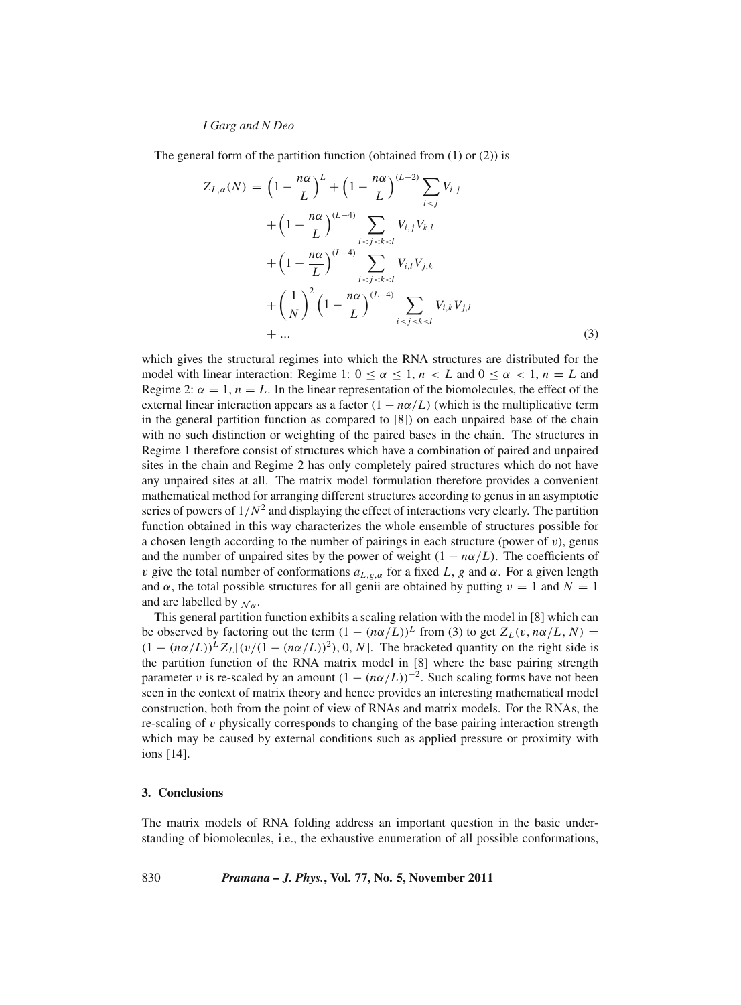## *I Garg and N Deo*

The general form of the partition function (obtained from  $(1)$  or  $(2)$ ) is

$$
Z_{L,\alpha}(N) = \left(1 - \frac{n\alpha}{L}\right)^{L} + \left(1 - \frac{n\alpha}{L}\right)^{(L-2)} \sum_{i < j} V_{i,j} + \left(1 - \frac{n\alpha}{L}\right)^{(L-4)} \sum_{i < j < k < l} V_{i,j} V_{k,l} + \left(1 - \frac{n\alpha}{L}\right)^{(L-4)} \sum_{i < j < k < l} V_{i,l} V_{j,k} + \left(\frac{1}{N}\right)^{2} \left(1 - \frac{n\alpha}{L}\right)^{(L-4)} \sum_{i < j < k < l} V_{i,k} V_{j,l} + \dots
$$
\n(3)

which gives the structural regimes into which the RNA structures are distributed for the model with linear interaction: Regime 1:  $0 \le \alpha \le 1$ ,  $n < L$  and  $0 \le \alpha < 1$ ,  $n = L$  and Regime 2:  $\alpha = 1$ ,  $n = L$ . In the linear representation of the biomolecules, the effect of the external linear interaction appears as a factor  $(1 - n\alpha/L)$  (which is the multiplicative term in the general partition function as compared to [8]) on each unpaired base of the chain with no such distinction or weighting of the paired bases in the chain. The structures in Regime 1 therefore consist of structures which have a combination of paired and unpaired sites in the chain and Regime 2 has only completely paired structures which do not have any unpaired sites at all. The matrix model formulation therefore provides a convenient mathematical method for arranging different structures according to genus in an asymptotic series of powers of  $1/N^2$  and displaying the effect of interactions very clearly. The partition function obtained in this way characterizes the whole ensemble of structures possible for a chosen length according to the number of pairings in each structure (power of  $v$ ), genus and the number of unpaired sites by the power of weight  $(1 - n\alpha/L)$ . The coefficients of v give the total number of conformations  $a_{L,g,\alpha}$  for a fixed L, g and  $\alpha$ . For a given length and  $\alpha$ , the total possible structures for all genii are obtained by putting  $v = 1$  and  $N = 1$ and are labelled by  $N_{\alpha}$ .

This general partition function exhibits a scaling relation with the model in [8] which can be observed by factoring out the term  $(1 - (n\alpha/L))^L$  from (3) to get  $Z_L(v, n\alpha/L, N) =$  $(1 - (n\alpha/L))^L Z_L[(v/(1 - (n\alpha/L))^2), 0, N]$ . The bracketed quantity on the right side is the partition function of the RNA matrix model in [8] where the base pairing strength parameter v is re-scaled by an amount  $(1 - (n\alpha/L))^{-2}$ . Such scaling forms have not been seen in the context of matrix theory and hence provides an interesting mathematical model construction, both from the point of view of RNAs and matrix models. For the RNAs, the re-scaling of  $\nu$  physically corresponds to changing of the base pairing interaction strength which may be caused by external conditions such as applied pressure or proximity with ions [14].

## **3. Conclusions**

The matrix models of RNA folding address an important question in the basic understanding of biomolecules, i.e., the exhaustive enumeration of all possible conformations,

830 *Pramana – J. Phys.***, Vol. 77, No. 5, November 2011**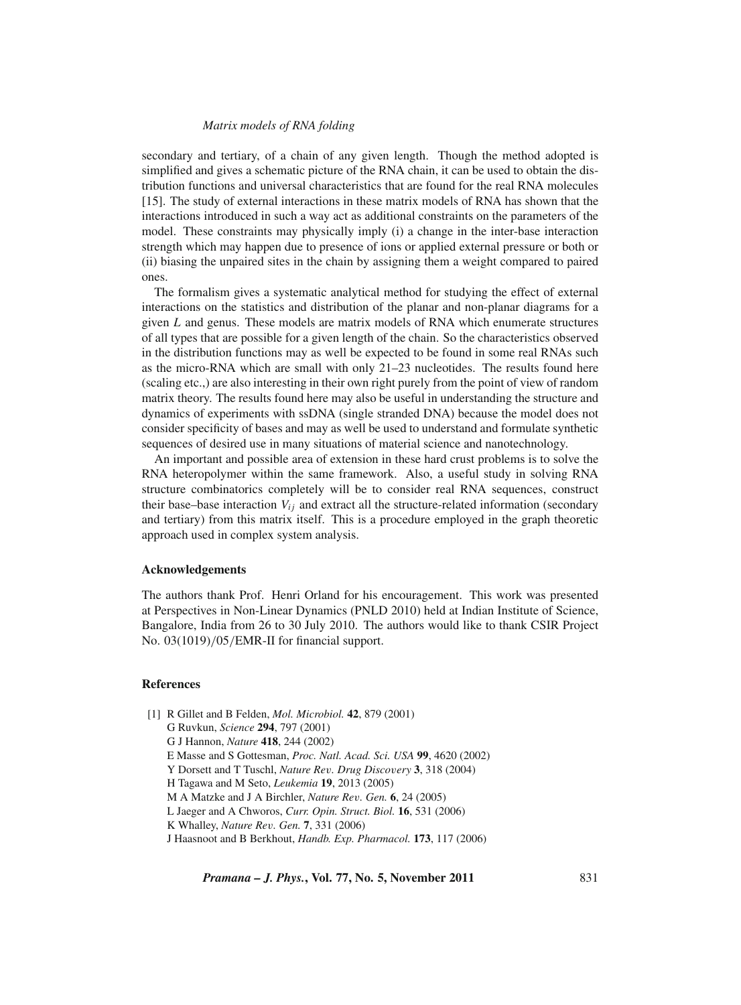## *Matrix models of RNA folding*

secondary and tertiary, of a chain of any given length. Though the method adopted is simplified and gives a schematic picture of the RNA chain, it can be used to obtain the distribution functions and universal characteristics that are found for the real RNA molecules [15]. The study of external interactions in these matrix models of RNA has shown that the interactions introduced in such a way act as additional constraints on the parameters of the model. These constraints may physically imply (i) a change in the inter-base interaction strength which may happen due to presence of ions or applied external pressure or both or (ii) biasing the unpaired sites in the chain by assigning them a weight compared to paired ones.

The formalism gives a systematic analytical method for studying the effect of external interactions on the statistics and distribution of the planar and non-planar diagrams for a given *L* and genus. These models are matrix models of RNA which enumerate structures of all types that are possible for a given length of the chain. So the characteristics observed in the distribution functions may as well be expected to be found in some real RNAs such as the micro-RNA which are small with only 21–23 nucleotides. The results found here (scaling etc.,) are also interesting in their own right purely from the point of view of random matrix theory. The results found here may also be useful in understanding the structure and dynamics of experiments with ssDNA (single stranded DNA) because the model does not consider specificity of bases and may as well be used to understand and formulate synthetic sequences of desired use in many situations of material science and nanotechnology.

An important and possible area of extension in these hard crust problems is to solve the RNA heteropolymer within the same framework. Also, a useful study in solving RNA structure combinatorics completely will be to consider real RNA sequences, construct their base–base interaction  $V_{ij}$  and extract all the structure-related information (secondary and tertiary) from this matrix itself. This is a procedure employed in the graph theoretic approach used in complex system analysis.

## **Acknowledgements**

The authors thank Prof. Henri Orland for his encouragement. This work was presented at Perspectives in Non-Linear Dynamics (PNLD 2010) held at Indian Institute of Science, Bangalore, India from 26 to 30 July 2010. The authors would like to thank CSIR Project No. 03(1019)/05/EMR-II for financial support.

## **References**

[1] R Gillet and B Felden, *Mol. Microbiol.* **42**, 879 (2001) G Ruvkun, *Science* **294**, 797 (2001) G J Hannon, *Nature* **418**, 244 (2002) E Masse and S Gottesman, *Proc. Natl. Acad. Sci. USA* **99**, 4620 (2002) Y Dorsett and T Tuschl, *Nature Re*v*. Drug Disco*v*ery* **3**, 318 (2004) H Tagawa and M Seto, *Leukemia* **19**, 2013 (2005) M A Matzke and J A Birchler, *Nature Re*v*. Gen.* **6**, 24 (2005) L Jaeger and A Chworos, *Curr. Opin. Struct. Biol.* **16**, 531 (2006) K Whalley, *Nature Re*v*. Gen.* **7**, 331 (2006) J Haasnoot and B Berkhout, *Handb. Exp. Pharmacol.* **173**, 117 (2006)

*Pramana – J. Phys.***, Vol. 77, No. 5, November 2011** 831